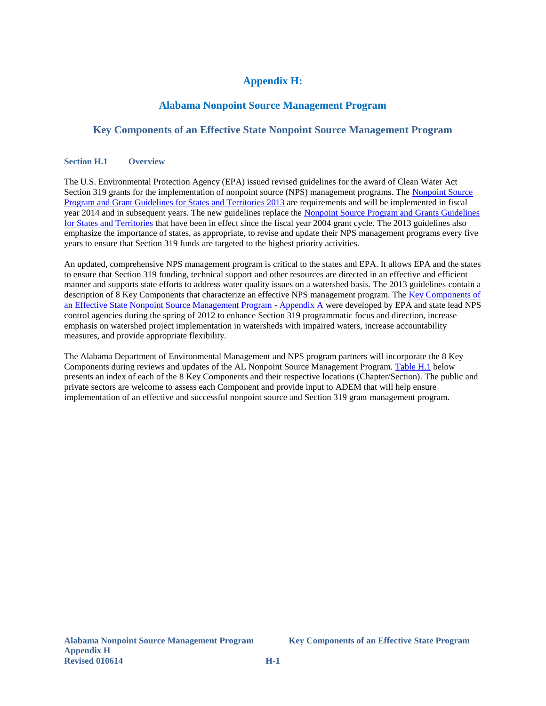# **Appendix H:**

## **Alabama Nonpoint Source Management Program**

#### **Key Components of an Effective State Nonpoint Source Management Program**

#### **Section H.1 Overview**

The U.S. Environmental Protection Agency (EPA) issued revised guidelines for the award of Clean Water Act Section 319 grants for the implementation of nonpoint source (NPS) management programs. The [Nonpoint Source](http://water.epa.gov/polwaste/nps/upload/319-guidelines-fy14.pdf)  [Program and Grant Guidelines for States and Territories 2013](http://water.epa.gov/polwaste/nps/upload/319-guidelines-fy14.pdf) are requirements and will be implemented in fiscal year 2014 and in subsequent years. The new guidelines replace the Nonpoint Source Program and Grants Guidelines [for States and Territories](http://www.epa.gov/fedrgstr/EPA-WATER/2003/October/Day-23/w26755.htmhttp:/www.epa.gov/fedrgstr/EPA-WATER/2003/October/Day-23/w26755.htm) that have been in effect since the fiscal year 2004 grant cycle. The 2013 guidelines also emphasize the importance of states, as appropriate, to revise and update their NPS management programs every five years to ensure that Section 319 funds are targeted to the highest priority activities.

An updated, comprehensive NPS management program is critical to the states and EPA. It allows EPA and the states to ensure that Section 319 funding, technical support and other resources are directed in an effective and efficient manner and supports state efforts to address water quality issues on a watershed basis. The 2013 guidelines contain a description of 8 Key Components that characterize an effective NPS management program. The Key Components of [an Effective State Nonpoint Source Management Program](http://water.epa.gov/polwaste/nps/upload/key_components_2012.pdf) - [Appendix A](http://water.epa.gov/polwaste/nps/upload/319-guidelines-fy14.pdf) were developed by EPA and state lead NPS control agencies during the spring of 2012 to enhance Section 319 programmatic focus and direction, increase emphasis on watershed project implementation in watersheds with impaired waters, increase accountability measures, and provide appropriate flexibility.

<span id="page-0-0"></span>The Alabama Department of Environmental Management and NPS program partners will incorporate the 8 Key Components during reviews and updates of the AL Nonpoint Source Management Program. [Table](#page-0-0) H.1 below presents an index of each of the 8 Key Components and their respective locations (Chapter/Section). The public and private sectors are welcome to assess each Component and provide input to ADEM that will help ensure implementation of an effective and successful nonpoint source and Section 319 grant management program.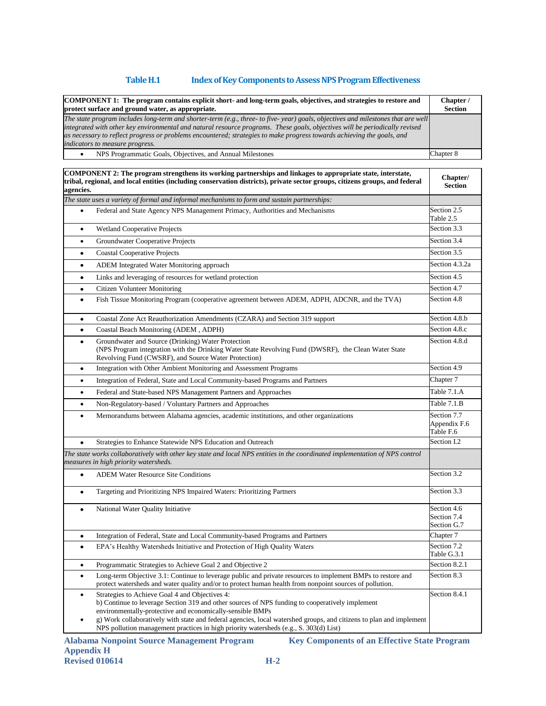### **TableH.1 Index of Key Components to Assess NPS Program Effectiveness**

| COMPONENT 1: The program contains explicit short- and long-term goals, objectives, and strategies to restore and<br>protect surface and ground water, as appropriate.                                                                                                                                                                                                                                                        | Chapter /<br><b>Section</b> |
|------------------------------------------------------------------------------------------------------------------------------------------------------------------------------------------------------------------------------------------------------------------------------------------------------------------------------------------------------------------------------------------------------------------------------|-----------------------------|
| The state program includes long-term and shorter-term (e.g., three- to five-year) goals, objectives and milestones that are well<br>integrated with other key environmental and natural resource programs. These goals, objectives will be periodically revised<br>as necessary to reflect progress or problems encountered; strategies to make progress towards achieving the goals, and<br>indicators to measure progress. |                             |
| NPS Programmatic Goals, Objectives, and Annual Milestones                                                                                                                                                                                                                                                                                                                                                                    | Chapter 8                   |

| COMPONENT 2: The program strengthens its working partnerships and linkages to appropriate state, interstate,<br>tribal, regional, and local entities (including conservation districts), private sector groups, citizens groups, and federal<br>agencies.                                                                                                                                                                                   | Chapter/<br><b>Section</b>                |
|---------------------------------------------------------------------------------------------------------------------------------------------------------------------------------------------------------------------------------------------------------------------------------------------------------------------------------------------------------------------------------------------------------------------------------------------|-------------------------------------------|
| The state uses a variety of formal and informal mechanisms to form and sustain partnerships:                                                                                                                                                                                                                                                                                                                                                |                                           |
| Federal and State Agency NPS Management Primacy, Authorities and Mechanisms<br>$\bullet$                                                                                                                                                                                                                                                                                                                                                    | Section 2.5<br>Table 2.5                  |
| <b>Wetland Cooperative Projects</b><br>$\bullet$                                                                                                                                                                                                                                                                                                                                                                                            | Section 3.3                               |
| Groundwater Cooperative Projects<br>٠                                                                                                                                                                                                                                                                                                                                                                                                       | Section 3.4                               |
| <b>Coastal Cooperative Projects</b><br>$\bullet$                                                                                                                                                                                                                                                                                                                                                                                            | Section 3.5                               |
| <b>ADEM</b> Integrated Water Monitoring approach<br>$\bullet$                                                                                                                                                                                                                                                                                                                                                                               | Section 4.3.2a                            |
| Links and leveraging of resources for wetland protection<br>٠                                                                                                                                                                                                                                                                                                                                                                               | Section 4.5                               |
| <b>Citizen Volunteer Monitoring</b><br>$\bullet$                                                                                                                                                                                                                                                                                                                                                                                            | Section 4.7                               |
| Fish Tissue Monitoring Program (cooperative agreement between ADEM, ADPH, ADCNR, and the TVA)<br>$\bullet$                                                                                                                                                                                                                                                                                                                                  | Section 4.8                               |
| Coastal Zone Act Reauthorization Amendments (CZARA) and Section 319 support<br>$\bullet$                                                                                                                                                                                                                                                                                                                                                    | Section 4.8.b                             |
| Coastal Beach Monitoring (ADEM, ADPH)<br>$\bullet$                                                                                                                                                                                                                                                                                                                                                                                          | Section 4.8.c                             |
| Groundwater and Source (Drinking) Water Protection<br>$\bullet$<br>(NPS Program integration with the Drinking Water State Revolving Fund (DWSRF), the Clean Water State<br>Revolving Fund (CWSRF), and Source Water Protection)                                                                                                                                                                                                             | Section 4.8.d                             |
| Integration with Other Ambient Monitoring and Assessment Programs<br>$\bullet$                                                                                                                                                                                                                                                                                                                                                              | Section 4.9                               |
| Integration of Federal, State and Local Community-based Programs and Partners<br>$\bullet$                                                                                                                                                                                                                                                                                                                                                  | Chapter 7                                 |
| Federal and State-based NPS Management Partners and Approaches<br>$\bullet$                                                                                                                                                                                                                                                                                                                                                                 | Table 7.1.A                               |
| Non-Regulatory-based / Voluntary Partners and Approaches<br>$\bullet$                                                                                                                                                                                                                                                                                                                                                                       | Table 7.1.B                               |
| Memorandums between Alabama agencies, academic institutions, and other organizations<br>$\bullet$                                                                                                                                                                                                                                                                                                                                           | Section 7.7<br>Appendix F.6<br>Table F.6  |
| Strategies to Enhance Statewide NPS Education and Outreach<br>$\bullet$                                                                                                                                                                                                                                                                                                                                                                     | Section I.2                               |
| The state works collaboratively with other key state and local NPS entities in the coordinated implementation of NPS control<br>measures in high priority watersheds.                                                                                                                                                                                                                                                                       |                                           |
| <b>ADEM Water Resource Site Conditions</b><br>$\bullet$                                                                                                                                                                                                                                                                                                                                                                                     | Section 3.2                               |
| Targeting and Prioritizing NPS Impaired Waters: Prioritizing Partners<br>$\bullet$                                                                                                                                                                                                                                                                                                                                                          | Section 3.3                               |
| National Water Quality Initiative<br>$\bullet$                                                                                                                                                                                                                                                                                                                                                                                              | Section 4.6<br>Section 7.4<br>Section G.7 |
| Integration of Federal, State and Local Community-based Programs and Partners<br>$\bullet$                                                                                                                                                                                                                                                                                                                                                  | Chapter 7                                 |
| EPA's Healthy Watersheds Initiative and Protection of High Quality Waters<br>$\bullet$                                                                                                                                                                                                                                                                                                                                                      | Section 7.2<br>Table G.3.1                |
| Programmatic Strategies to Achieve Goal 2 and Objective 2<br>$\bullet$                                                                                                                                                                                                                                                                                                                                                                      | Section 8.2.1                             |
| Long-term Objective 3.1: Continue to leverage public and private resources to implement BMPs to restore and<br>$\bullet$<br>protect watersheds and water quality and/or to protect human health from nonpoint sources of pollution.                                                                                                                                                                                                         | Section 8.3                               |
| Strategies to Achieve Goal 4 and Objectives 4:<br>$\bullet$<br>b) Continue to leverage Section 319 and other sources of NPS funding to cooperatively implement<br>environmentally-protective and economically-sensible BMPs<br>g) Work collaboratively with state and federal agencies, local watershed groups, and citizens to plan and implement<br>NPS pollution management practices in high priority watersheds (e.g., S. 303(d) List) | Section 8.4.1                             |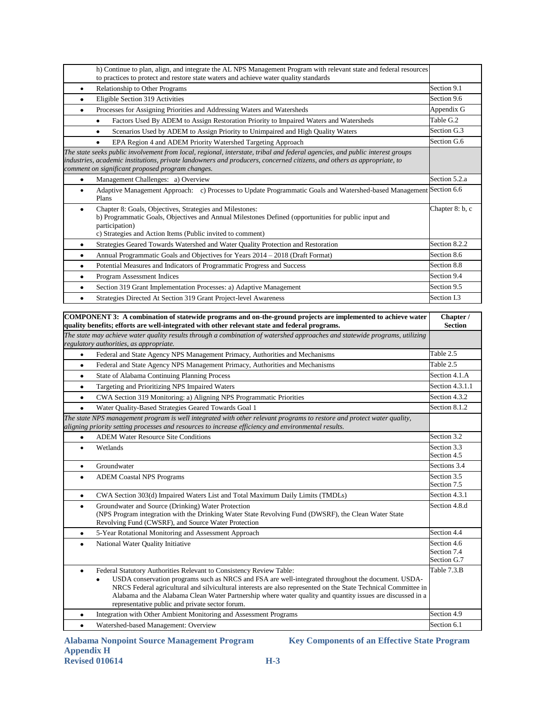| h) Continue to plan, align, and integrate the AL NPS Management Program with relevant state and federal resources<br>to practices to protect and restore state waters and achieve water quality standards                                                                                                  |                 |
|------------------------------------------------------------------------------------------------------------------------------------------------------------------------------------------------------------------------------------------------------------------------------------------------------------|-----------------|
| <b>Relationship to Other Programs</b><br>٠                                                                                                                                                                                                                                                                 | Section 9.1     |
| Eligible Section 319 Activities<br>٠                                                                                                                                                                                                                                                                       | Section 9.6     |
| Processes for Assigning Priorities and Addressing Waters and Watersheds<br>$\bullet$                                                                                                                                                                                                                       | Appendix G      |
| Factors Used By ADEM to Assign Restoration Priority to Impaired Waters and Watersheds<br>٠                                                                                                                                                                                                                 | Table G.2       |
| Scenarios Used by ADEM to Assign Priority to Unimpaired and High Quality Waters                                                                                                                                                                                                                            | Section G.3     |
| EPA Region 4 and ADEM Priority Watershed Targeting Approach<br>٠                                                                                                                                                                                                                                           | Section G.6     |
| The state seeks public involvement from local, regional, interstate, tribal and federal agencies, and public interest groups<br>industries, academic institutions, private landowners and producers, concerned citizens, and others as appropriate, to<br>comment on significant proposed program changes. |                 |
| Management Challenges: a) Overview<br>$\bullet$                                                                                                                                                                                                                                                            | Section 5.2.a   |
| Adaptive Management Approach: c) Processes to Update Programmatic Goals and Watershed-based Management Section 6.6<br>$\bullet$<br>Plans                                                                                                                                                                   |                 |
| Chapter 8: Goals, Objectives, Strategies and Milestones:<br>٠<br>b) Programmatic Goals, Objectives and Annual Milestones Defined (opportunities for public input and<br>participation)<br>c) Strategies and Action Items (Public invited to comment)                                                       | Chapter 8: b, c |
| Strategies Geared Towards Watershed and Water Quality Protection and Restoration<br>٠                                                                                                                                                                                                                      | Section 8.2.2   |
| Annual Programmatic Goals and Objectives for Years 2014 – 2018 (Draft Format)<br>٠                                                                                                                                                                                                                         | Section 8.6     |
| Potential Measures and Indicators of Programmatic Progress and Success<br>٠                                                                                                                                                                                                                                | Section 8.8     |
| Program Assessment Indices<br>٠                                                                                                                                                                                                                                                                            | Section 9.4     |
| Section 319 Grant Implementation Processes: a) Adaptive Management<br>٠                                                                                                                                                                                                                                    | Section 9.5     |
| Strategies Directed At Section 319 Grant Project-level Awareness                                                                                                                                                                                                                                           | Section I.3     |
|                                                                                                                                                                                                                                                                                                            |                 |

| COMPONENT 3: A combination of statewide programs and on-the-ground projects are implemented to achieve water<br>quality benefits; efforts are well-integrated with other relevant state and federal programs.                                                                                                                                                                                                                                                             | Chapter /<br><b>Section</b>               |
|---------------------------------------------------------------------------------------------------------------------------------------------------------------------------------------------------------------------------------------------------------------------------------------------------------------------------------------------------------------------------------------------------------------------------------------------------------------------------|-------------------------------------------|
| The state may achieve water quality results through a combination of watershed approaches and statewide programs, utilizing<br>regulatory authorities, as appropriate.                                                                                                                                                                                                                                                                                                    |                                           |
| Federal and State Agency NPS Management Primacy, Authorities and Mechanisms<br>$\bullet$                                                                                                                                                                                                                                                                                                                                                                                  | Table 2.5                                 |
| Federal and State Agency NPS Management Primacy, Authorities and Mechanisms<br>$\bullet$                                                                                                                                                                                                                                                                                                                                                                                  | Table 2.5                                 |
| State of Alabama Continuing Planning Process<br>$\bullet$                                                                                                                                                                                                                                                                                                                                                                                                                 | Section 4.1.A                             |
| Targeting and Prioritizing NPS Impaired Waters<br>$\bullet$                                                                                                                                                                                                                                                                                                                                                                                                               | Section 4.3.1.1                           |
| CWA Section 319 Monitoring: a) Aligning NPS Programmatic Priorities<br>$\bullet$                                                                                                                                                                                                                                                                                                                                                                                          | Section 4.3.2                             |
| Water Quality-Based Strategies Geared Towards Goal 1<br>٠                                                                                                                                                                                                                                                                                                                                                                                                                 | Section 8.1.2                             |
| The state NPS management program is well integrated with other relevant programs to restore and protect water quality,<br>aligning priority setting processes and resources to increase efficiency and environmental results.                                                                                                                                                                                                                                             |                                           |
| <b>ADEM Water Resource Site Conditions</b><br>$\bullet$                                                                                                                                                                                                                                                                                                                                                                                                                   | Section 3.2                               |
| Wetlands<br>$\bullet$                                                                                                                                                                                                                                                                                                                                                                                                                                                     | Section 3.3<br>Section 4.5                |
| Groundwater<br>$\bullet$                                                                                                                                                                                                                                                                                                                                                                                                                                                  | Sections 3.4                              |
| <b>ADEM Coastal NPS Programs</b><br>$\bullet$                                                                                                                                                                                                                                                                                                                                                                                                                             | Section 3.5<br>Section 7.5                |
| CWA Section 303(d) Impaired Waters List and Total Maximum Daily Limits (TMDLs)<br>$\bullet$                                                                                                                                                                                                                                                                                                                                                                               | Section 4.3.1                             |
| Groundwater and Source (Drinking) Water Protection<br>$\bullet$<br>(NPS Program integration with the Drinking Water State Revolving Fund (DWSRF), the Clean Water State<br>Revolving Fund (CWSRF), and Source Water Protection                                                                                                                                                                                                                                            | Section 4.8.d                             |
| 5-Year Rotational Monitoring and Assessment Approach<br>$\bullet$                                                                                                                                                                                                                                                                                                                                                                                                         | Section 4.4                               |
| National Water Quality Initiative<br>٠                                                                                                                                                                                                                                                                                                                                                                                                                                    | Section 4.6<br>Section 7.4<br>Section G.7 |
| Federal Statutory Authorities Relevant to Consistency Review Table:<br>$\bullet$<br>USDA conservation programs such as NRCS and FSA are well-integrated throughout the document. USDA-<br>NRCS Federal agricultural and silvicultural interests are also represented on the State Technical Committee in<br>Alabama and the Alabama Clean Water Partnership where water quality and quantity issues are discussed in a<br>representative public and private sector forum. | Table 7.3.B                               |
| Integration with Other Ambient Monitoring and Assessment Programs<br>٠                                                                                                                                                                                                                                                                                                                                                                                                    | Section 4.9                               |
| Watershed-based Management: Overview<br>$\bullet$                                                                                                                                                                                                                                                                                                                                                                                                                         | Section 6.1                               |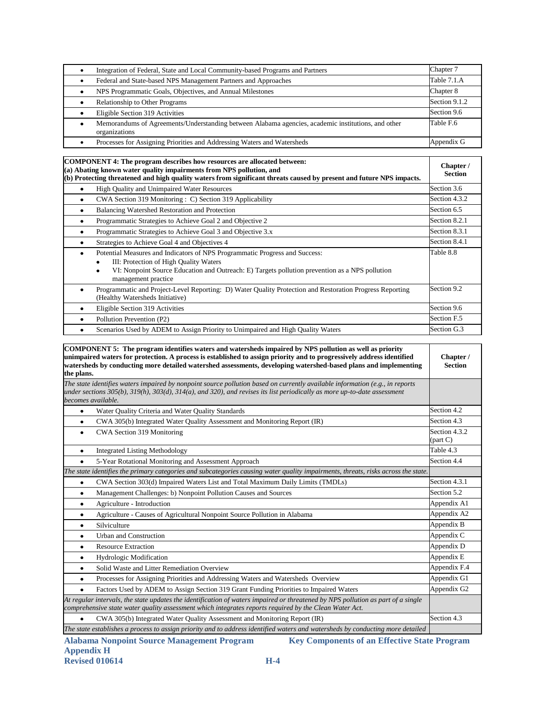| Integration of Federal, State and Local Community-based Programs and Partners                                       | Chapter 7     |
|---------------------------------------------------------------------------------------------------------------------|---------------|
| Federal and State-based NPS Management Partners and Approaches                                                      | Table 7.1.A   |
| NPS Programmatic Goals, Objectives, and Annual Milestones                                                           | Chapter 8     |
| Relationship to Other Programs                                                                                      | Section 9.1.2 |
| Eligible Section 319 Activities                                                                                     | Section 9.6   |
| Memorandums of Agreements/Understanding between Alabama agencies, academic institutions, and other<br>organizations | Table F.6     |
| Processes for Assigning Priorities and Addressing Waters and Watersheds                                             | Appendix G    |

| <b>COMPONENT 4: The program describes how resources are allocated between:</b><br>(a) Abating known water quality impairments from NPS pollution, and<br>(b) Protecting threatened and high quality waters from significant threats caused by present and future NPS impacts. |               |
|-------------------------------------------------------------------------------------------------------------------------------------------------------------------------------------------------------------------------------------------------------------------------------|---------------|
| High Quality and Unimpaired Water Resources<br>$\bullet$                                                                                                                                                                                                                      | Section 3.6   |
| CWA Section 319 Monitoring : C) Section 319 Applicability<br>$\bullet$                                                                                                                                                                                                        | Section 4.3.2 |
| Balancing Watershed Restoration and Protection<br>٠                                                                                                                                                                                                                           | Section 6.5   |
| Programmatic Strategies to Achieve Goal 2 and Objective 2<br>$\bullet$                                                                                                                                                                                                        | Section 8.2.1 |
| Programmatic Strategies to Achieve Goal 3 and Objective 3.x<br>$\bullet$                                                                                                                                                                                                      | Section 8.3.1 |
| Strategies to Achieve Goal 4 and Objectives 4<br>٠                                                                                                                                                                                                                            | Section 8.4.1 |
| Potential Measures and Indicators of NPS Programmatic Progress and Success:<br>$\bullet$<br>III: Protection of High Quality Waters<br>VI: Nonpoint Source Education and Outreach: E) Targets pollution prevention as a NPS pollution<br>٠<br>management practice              | Table 8.8     |
| Programmatic and Project-Level Reporting: D) Water Quality Protection and Restoration Progress Reporting<br>(Healthy Watersheds Initiative)                                                                                                                                   | Section 9.2   |
| Eligible Section 319 Activities<br>٠                                                                                                                                                                                                                                          | Section 9.6   |
| Pollution Prevention (P2)<br>٠                                                                                                                                                                                                                                                | Section F.5   |
| Scenarios Used by ADEM to Assign Priority to Unimpaired and High Quality Waters                                                                                                                                                                                               | Section G.3   |

| COMPONENT 5: The program identifies waters and watersheds impaired by NPS pollution as well as priority<br>unimpaired waters for protection. A process is established to assign priority and to progressively address identified<br>watersheds by conducting more detailed watershed assessments, developing watershed-based plans and implementing<br>the plans. | Chapter /<br><b>Section</b>             |
|-------------------------------------------------------------------------------------------------------------------------------------------------------------------------------------------------------------------------------------------------------------------------------------------------------------------------------------------------------------------|-----------------------------------------|
| The state identifies waters impaired by nonpoint source pollution based on currently available information (e.g., in reports<br>under sections 305(b), 319(h), 303(d), 314(a), and 320), and revises its list periodically as more up-to-date assessment<br>becomes available.                                                                                    |                                         |
| Water Quality Criteria and Water Quality Standards<br>$\bullet$                                                                                                                                                                                                                                                                                                   | Section 4.2                             |
| CWA 305(b) Integrated Water Quality Assessment and Monitoring Report (IR)<br>$\bullet$                                                                                                                                                                                                                                                                            | Section 4.3                             |
| CWA Section 319 Monitoring<br>$\bullet$                                                                                                                                                                                                                                                                                                                           | Section 4.3.2<br>$\frac{1}{2}$ (part C) |
| <b>Integrated Listing Methodology</b><br>$\bullet$                                                                                                                                                                                                                                                                                                                | Table 4.3                               |
| 5-Year Rotational Monitoring and Assessment Approach<br>$\bullet$                                                                                                                                                                                                                                                                                                 | Section 4.4                             |
| The state identifies the primary categories and subcategories causing water quality impairments, threats, risks across the state.                                                                                                                                                                                                                                 |                                         |
| CWA Section 303(d) Impaired Waters List and Total Maximum Daily Limits (TMDLs)<br>$\bullet$                                                                                                                                                                                                                                                                       | Section 4.3.1                           |
| Management Challenges: b) Nonpoint Pollution Causes and Sources<br>٠                                                                                                                                                                                                                                                                                              | Section 5.2                             |
| Agriculture - Introduction<br>$\bullet$                                                                                                                                                                                                                                                                                                                           | Appendix A1                             |
| Agriculture - Causes of Agricultural Nonpoint Source Pollution in Alabama<br>$\bullet$                                                                                                                                                                                                                                                                            | Appendix A2                             |
| Silviculture<br>٠                                                                                                                                                                                                                                                                                                                                                 | Appendix B                              |
| <b>Urban and Construction</b><br>$\bullet$                                                                                                                                                                                                                                                                                                                        | Appendix C                              |
| <b>Resource Extraction</b><br>$\bullet$                                                                                                                                                                                                                                                                                                                           | Appendix D                              |
| <b>Hydrologic Modification</b><br>$\bullet$                                                                                                                                                                                                                                                                                                                       | Appendix E                              |
| Solid Waste and Litter Remediation Overview<br>$\bullet$                                                                                                                                                                                                                                                                                                          | Appendix F.4                            |
| Processes for Assigning Priorities and Addressing Waters and Watersheds Overview<br>$\bullet$                                                                                                                                                                                                                                                                     | Appendix G1                             |
| Factors Used by ADEM to Assign Section 319 Grant Funding Priorities to Impaired Waters<br>$\bullet$                                                                                                                                                                                                                                                               | Appendix G2                             |
| At regular intervals, the state updates the identification of waters impaired or threatened by NPS pollution as part of a single<br>comprehensive state water quality assessment which integrates reports required by the Clean Water Act.                                                                                                                        |                                         |
| CWA 305(b) Integrated Water Quality Assessment and Monitoring Report (IR)<br>$\bullet$                                                                                                                                                                                                                                                                            | Section 4.3                             |
| The state establishes a process to assign priority and to address identified waters and watersheds by conducting more detailed                                                                                                                                                                                                                                    |                                         |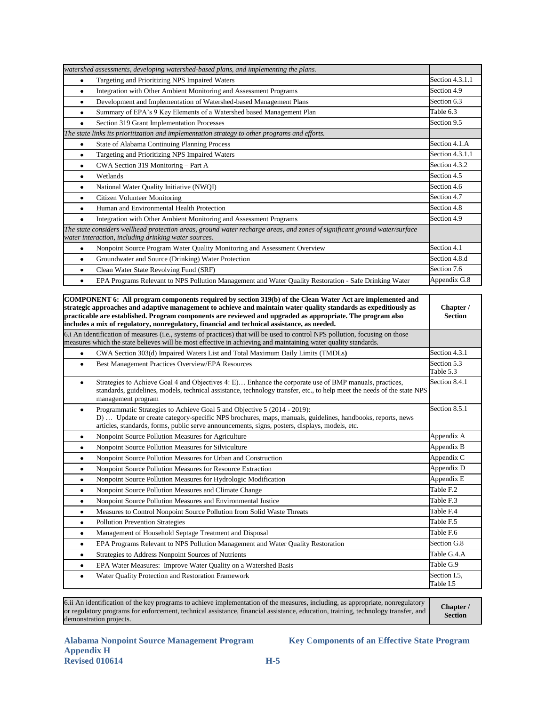| watershed assessments, developing watershed-based plans, and implementing the plans.                                                                                              |                 |
|-----------------------------------------------------------------------------------------------------------------------------------------------------------------------------------|-----------------|
| Targeting and Prioritizing NPS Impaired Waters<br>$\bullet$                                                                                                                       | Section 4.3.1.1 |
| Integration with Other Ambient Monitoring and Assessment Programs<br>٠                                                                                                            | Section 4.9     |
| Development and Implementation of Watershed-based Management Plans<br>$\bullet$                                                                                                   | Section 6.3     |
| Summary of EPA's 9 Key Elements of a Watershed based Management Plan<br>٠                                                                                                         | Table 6.3       |
| Section 319 Grant Implementation Processes                                                                                                                                        | Section 9.5     |
| The state links its prioritization and implementation strategy to other programs and efforts.                                                                                     |                 |
| <b>State of Alabama Continuing Planning Process</b><br>٠                                                                                                                          | Section 4.1.A   |
| Targeting and Prioritizing NPS Impaired Waters<br>٠                                                                                                                               | Section 4.3.1.1 |
| CWA Section 319 Monitoring – Part A<br>$\bullet$                                                                                                                                  | Section 4.3.2   |
| Wetlands<br>٠                                                                                                                                                                     | Section 4.5     |
| National Water Quality Initiative (NWQI)<br>$\bullet$                                                                                                                             | Section 4.6     |
| Citizen Volunteer Monitoring<br>٠                                                                                                                                                 | Section 4.7     |
| Human and Environmental Health Protection<br>$\bullet$                                                                                                                            | Section 4.8     |
| Integration with Other Ambient Monitoring and Assessment Programs<br>٠                                                                                                            | Section 4.9     |
| The state considers wellhead protection areas, ground water recharge areas, and zones of significant ground water/surface<br>water interaction, including drinking water sources. |                 |
| Nonpoint Source Program Water Quality Monitoring and Assessment Overview<br>$\bullet$                                                                                             | Section 4.1     |
| Groundwater and Source (Drinking) Water Protection<br>٠                                                                                                                           | Section 4.8.d   |
| Clean Water State Revolving Fund (SRF)<br>$\bullet$                                                                                                                               | Section 7.6     |
| EPA Programs Relevant to NPS Pollution Management and Water Quality Restoration - Safe Drinking Water<br>٠                                                                        | Appendix G.8    |

**COMPONENT 6: All program components required by section 319(b) of the Clean Water Act are implemented and strategic approaches and adaptive management to achieve and maintain water quality standards as expeditiously as practicable are established. Program components are reviewed and upgraded as appropriate. The program also includes a mix of regulatory, nonregulatory, financial and technical assistance, as needed. Chapter / Section** 6.i An identification of measures (i.e., systems of practices) that will be used to control NPS pollution, focusing on those measures which the state believes will be most effective in achieving and maintaining water quality standards. • CWA Section 303(d) Impaired Waters List and Total Maximum Daily Limits (TMDLs) **Section 4.3.1** Best Management Practices Overview/EPA Resources Section 5.3 Table 5.3 Strategies to Achieve Goal 4 and Objectives 4: E)… Enhance the corporate use of BMP manuals, practices, standards, guidelines, models, technical assistance, technology transfer, etc., to help meet the needs of the state NPS management program Section 8.4.1 Programmatic Strategies to Achieve Goal 5 and Objective 5 (2014 - 2019): D) … Update or create category-specific NPS brochures, maps, manuals, guidelines, handbooks, reports, news articles, standards, forms, public serve announcements, signs, posters, displays, models, etc. Section 8.5.1 • Nonpoint Source Pollution Measures for Agriculture Appendix A • Nonpoint Source Pollution Measures for Silviculture Appendix B • Nonpoint Source Pollution Measures for Urban and Construction Appendix C • Nonpoint Source Pollution Measures for Resource Extraction Appendix D • Nonpoint Source Pollution Measures for Hydrologic Modification Appendix E • Nonpoint Source Pollution Measures and Climate Change Table F.2 • Nonpoint Source Pollution Measures and Environmental Justice Table F.3 • Measures to Control Nonpoint Source Pollution from Solid Waste Threats Table F.4 • Pollution Prevention Strategies Table F.5 • Management of Household Septage Treatment and Disposal Table F.6 • EPA Programs Relevant to NPS Pollution Management and Water Quality Restoration Section G.8 Strategies to Address Nonpoint Sources of Nutrients Table G.4.A • EPA Water Measures: Improve Water Quality on a Watershed Basis Table G.9 • Water Quality Protection and Restoration Framework Section I.5, Table I.5

6.ii An identification of the key programs to achieve implementation of the measures, including, as appropriate, nonregulatory or regulatory programs for enforcement, technical assistance, financial assistance, education, training, technology transfer, and demonstration projects. **Chapter /** 

**Alabama Nonpoint Source Management Program Key Components of an Effective State Program Appendix H Revised 010614 H-5** 

**Section**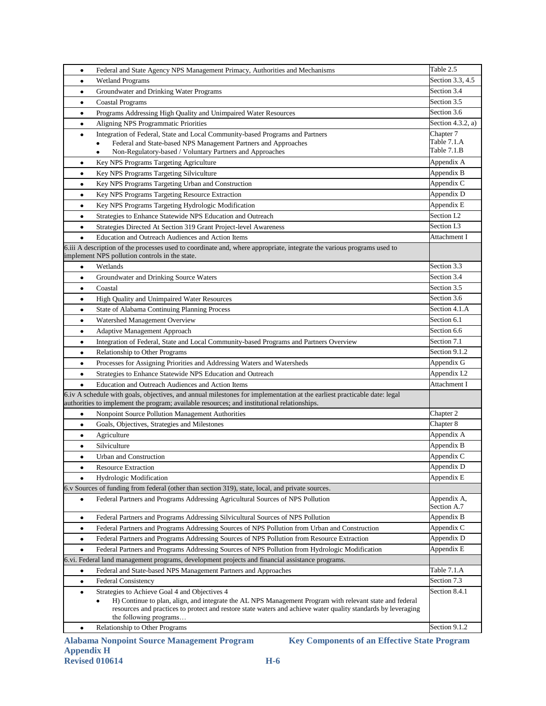| $\bullet$ | Federal and State Agency NPS Management Primacy, Authorities and Mechanisms                                                                                                                                                                                                                              | Table 2.5                  |
|-----------|----------------------------------------------------------------------------------------------------------------------------------------------------------------------------------------------------------------------------------------------------------------------------------------------------------|----------------------------|
| $\bullet$ | <b>Wetland Programs</b>                                                                                                                                                                                                                                                                                  | Section 3.3, 4.5           |
| $\bullet$ | Groundwater and Drinking Water Programs                                                                                                                                                                                                                                                                  | Section 3.4                |
| $\bullet$ | Coastal Programs                                                                                                                                                                                                                                                                                         | Section 3.5                |
| $\bullet$ | Programs Addressing High Quality and Unimpaired Water Resources                                                                                                                                                                                                                                          | Section 3.6                |
| $\bullet$ | Aligning NPS Programmatic Priorities                                                                                                                                                                                                                                                                     | Section 4.3.2, $a)$        |
| ٠         | Integration of Federal, State and Local Community-based Programs and Partners                                                                                                                                                                                                                            | Chapter 7                  |
|           | Federal and State-based NPS Management Partners and Approaches                                                                                                                                                                                                                                           | Table 7.1.A                |
|           | Non-Regulatory-based / Voluntary Partners and Approaches<br>$\bullet$                                                                                                                                                                                                                                    | Table 7.1.B                |
| ٠         | Key NPS Programs Targeting Agriculture                                                                                                                                                                                                                                                                   | Appendix A                 |
| ٠         | Key NPS Programs Targeting Silviculture                                                                                                                                                                                                                                                                  | Appendix B                 |
| ٠         | Key NPS Programs Targeting Urban and Construction                                                                                                                                                                                                                                                        | Appendix C                 |
| $\bullet$ | Key NPS Programs Targeting Resource Extraction                                                                                                                                                                                                                                                           | Appendix D                 |
| $\bullet$ | Key NPS Programs Targeting Hydrologic Modification                                                                                                                                                                                                                                                       | Appendix E                 |
| $\bullet$ | Strategies to Enhance Statewide NPS Education and Outreach                                                                                                                                                                                                                                               | Section I.2                |
| $\bullet$ | Strategies Directed At Section 319 Grant Project-level Awareness                                                                                                                                                                                                                                         | Section I.3                |
| $\bullet$ | Education and Outreach Audiences and Action Items                                                                                                                                                                                                                                                        | Attachment I               |
|           | 6.iii A description of the processes used to coordinate and, where appropriate, integrate the various programs used to<br>implement NPS pollution controls in the state.                                                                                                                                 |                            |
| $\bullet$ | Wetlands                                                                                                                                                                                                                                                                                                 | Section 3.3                |
| $\bullet$ | Groundwater and Drinking Source Waters                                                                                                                                                                                                                                                                   | Section 3.4                |
| $\bullet$ | Coastal                                                                                                                                                                                                                                                                                                  | Section 3.5                |
| $\bullet$ | High Quality and Unimpaired Water Resources                                                                                                                                                                                                                                                              | Section 3.6                |
| $\bullet$ | State of Alabama Continuing Planning Process                                                                                                                                                                                                                                                             | Section 4.1.A              |
| $\bullet$ | Watershed Management Overview                                                                                                                                                                                                                                                                            | Section 6.1                |
| $\bullet$ | Adaptive Management Approach                                                                                                                                                                                                                                                                             | Section 6.6                |
| $\bullet$ | Integration of Federal, State and Local Community-based Programs and Partners Overview                                                                                                                                                                                                                   | Section 7.1                |
| $\bullet$ | Relationship to Other Programs                                                                                                                                                                                                                                                                           | Section 9.1.2              |
| $\bullet$ | Processes for Assigning Priorities and Addressing Waters and Watersheds                                                                                                                                                                                                                                  | Appendix G                 |
| $\bullet$ | Strategies to Enhance Statewide NPS Education and Outreach                                                                                                                                                                                                                                               | Appendix I.2               |
| $\bullet$ | Education and Outreach Audiences and Action Items                                                                                                                                                                                                                                                        | Attachment I               |
|           | 6.iv A schedule with goals, objectives, and annual milestones for implementation at the earliest practicable date: legal<br>authorities to implement the program; available resources; and institutional relationships.                                                                                  |                            |
| ٠         | Nonpoint Source Pollution Management Authorities                                                                                                                                                                                                                                                         | Chapter 2                  |
| ٠         | Goals, Objectives, Strategies and Milestones                                                                                                                                                                                                                                                             | Chapter 8                  |
| $\bullet$ | Agriculture                                                                                                                                                                                                                                                                                              | Appendix A                 |
| ٠         | Silviculture                                                                                                                                                                                                                                                                                             | Appendix B                 |
| $\bullet$ | Urban and Construction                                                                                                                                                                                                                                                                                   | Appendix C                 |
| ٠         | <b>Resource Extraction</b>                                                                                                                                                                                                                                                                               | Appendix D                 |
| $\bullet$ | Hydrologic Modification                                                                                                                                                                                                                                                                                  | Appendix E                 |
|           | 6.v Sources of funding from federal (other than section 319), state, local, and private sources.                                                                                                                                                                                                         |                            |
| ٠         | Federal Partners and Programs Addressing Agricultural Sources of NPS Pollution                                                                                                                                                                                                                           | Appendix A,<br>Section A.7 |
| ٠         | Federal Partners and Programs Addressing Silvicultural Sources of NPS Pollution                                                                                                                                                                                                                          | Appendix B                 |
| $\bullet$ | Federal Partners and Programs Addressing Sources of NPS Pollution from Urban and Construction                                                                                                                                                                                                            | Appendix C                 |
| $\bullet$ | Federal Partners and Programs Addressing Sources of NPS Pollution from Resource Extraction                                                                                                                                                                                                               | Appendix D                 |
| $\bullet$ | Federal Partners and Programs Addressing Sources of NPS Pollution from Hydrologic Modification                                                                                                                                                                                                           | Appendix E                 |
|           | 6.vi. Federal land management programs, development projects and financial assistance programs.                                                                                                                                                                                                          |                            |
| $\bullet$ | Federal and State-based NPS Management Partners and Approaches                                                                                                                                                                                                                                           | Table 7.1.A                |
| $\bullet$ | <b>Federal Consistency</b>                                                                                                                                                                                                                                                                               | Section 7.3                |
| $\bullet$ | Strategies to Achieve Goal 4 and Objectives 4<br>H) Continue to plan, align, and integrate the AL NPS Management Program with relevant state and federal<br>٠<br>resources and practices to protect and restore state waters and achieve water quality standards by leveraging<br>the following programs | Section 8.4.1              |
| $\bullet$ | Relationship to Other Programs                                                                                                                                                                                                                                                                           | Section 9.1.2              |